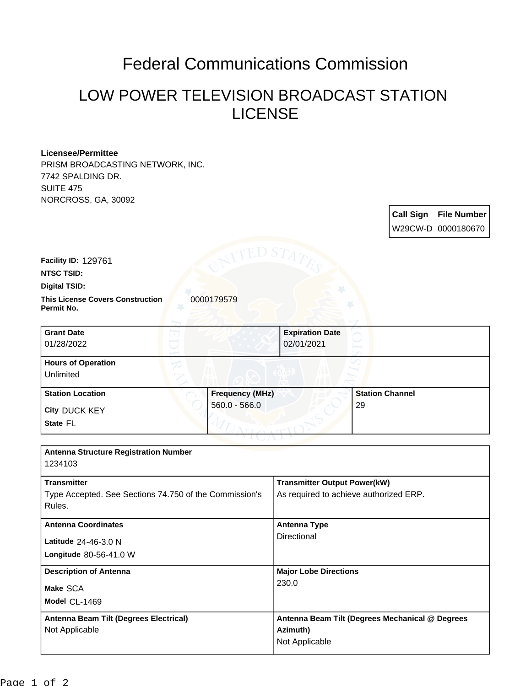## Federal Communications Commission

## LOW POWER TELEVISION BROADCAST STATION LICENSE

**Call Sign File Number**

## **Licensee/Permittee**

PRISM BROADCASTING NETWORK, INC. 7742 SPALDING DR. SUITE 475 NORCROSS, GA, 30092

|                                                        |                                           |                                                 |                              | W29CW-D 0000180670 |
|--------------------------------------------------------|-------------------------------------------|-------------------------------------------------|------------------------------|--------------------|
|                                                        | TED S7                                    |                                                 |                              |                    |
| Facility ID: 129761                                    |                                           |                                                 |                              |                    |
| <b>NTSC TSID:</b>                                      |                                           |                                                 |                              |                    |
| <b>Digital TSID:</b>                                   |                                           |                                                 |                              |                    |
| <b>This License Covers Construction</b><br>Permit No.  | 0000179579                                |                                                 |                              |                    |
| <b>Grant Date</b>                                      |                                           | <b>Expiration Date</b>                          |                              |                    |
| 01/28/2022                                             |                                           | 02/01/2021                                      |                              |                    |
| <b>Hours of Operation</b>                              |                                           |                                                 |                              |                    |
| Unlimited                                              |                                           |                                                 |                              |                    |
| <b>Station Location</b>                                | <b>Frequency (MHz)</b><br>$560.0 - 566.0$ |                                                 | <b>Station Channel</b><br>29 |                    |
| City DUCK KEY                                          |                                           |                                                 |                              |                    |
| State FL                                               |                                           |                                                 |                              |                    |
|                                                        |                                           |                                                 |                              |                    |
| <b>Antenna Structure Registration Number</b>           |                                           |                                                 |                              |                    |
| 1234103                                                |                                           |                                                 |                              |                    |
| <b>Transmitter</b>                                     |                                           | <b>Transmitter Output Power(kW)</b>             |                              |                    |
| Type Accepted. See Sections 74.750 of the Commission's | As required to achieve authorized ERP.    |                                                 |                              |                    |
| Rules.                                                 |                                           |                                                 |                              |                    |
| <b>Antenna Coordinates</b>                             |                                           | <b>Antenna Type</b>                             |                              |                    |
| Latitude 24-46-3.0 N                                   |                                           | Directional                                     |                              |                    |
| Longitude 80-56-41.0 W                                 |                                           |                                                 |                              |                    |
| <b>Description of Antenna</b>                          |                                           | <b>Major Lobe Directions</b>                    |                              |                    |
| Make SCA                                               |                                           | 230.0                                           |                              |                    |
| Model CL-1469                                          |                                           |                                                 |                              |                    |
| Antenna Beam Tilt (Degrees Electrical)                 |                                           | Antenna Beam Tilt (Degrees Mechanical @ Degrees |                              |                    |
| Not Applicable                                         |                                           | Azimuth)                                        |                              |                    |
|                                                        |                                           | Not Applicable                                  |                              |                    |
|                                                        |                                           |                                                 |                              |                    |